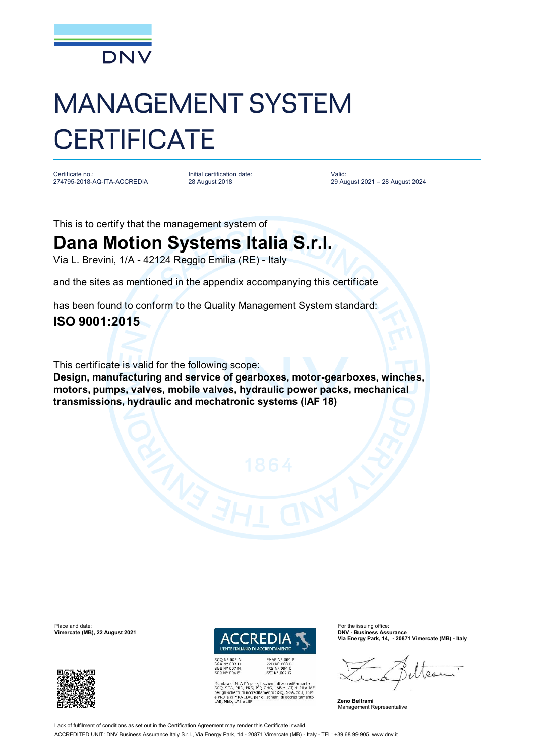

# MANAGEMENT SYSTEM **CERTIFICATE**

Certificate no.: 274795-2018-AQ-ITA-ACCREDIA Initial certification date: 28 August 2018

Valid: 29 August 2021 – 28 August 2024

This is to certify that the management system of

## **Dana Motion Systems Italia S.r.l.**

Via L. Brevini, 1/A - 42124 Reggio Emilia (RE) - Italy

and the sites as mentioned in the appendix accompanying this certificate

has been found to conform to the Quality Management System standard:

### **ISO 9001:2015**

This certificate is valid for the following scope:

**Design, manufacturing and service of gearboxes, motor-gearboxes, winches, motors, pumps, valves, mobile valves, hydraulic power packs, mechanical transmissions, hydraulic and mechatronic systems (IAF 18)**



EMAS N° 009<br>PRD N° 003 B<br>PRS N° 094 C<br>SSI N° 002 G Membro di MLA EA per gli schemi di accreditamento<br>SGQ, SGA, PRD, PRS, ISP, GHG, LAB e LAT, di MLA IAF<br>per gli schemi di accreditamento SGQ, SGA, SSI, FSM<br>e PRD e di MRA ILAC per gli schemi di accreditamento<br>LAB, MED, LAT e **Via Energy Park, 14, - 20871 Vimercate (MB) - Italy**





Lack of fulfilment of conditions as set out in the Certification Agreement may render this Certificate invalid ACCREDITED UNIT: DNV Business Assurance Italy S.r.l., Via Energy Park, 14 - 20871 Vimercate (MB) - Italy - TEL: +39 68 99 905. [www.dnv.it](http://www.dnv.it)